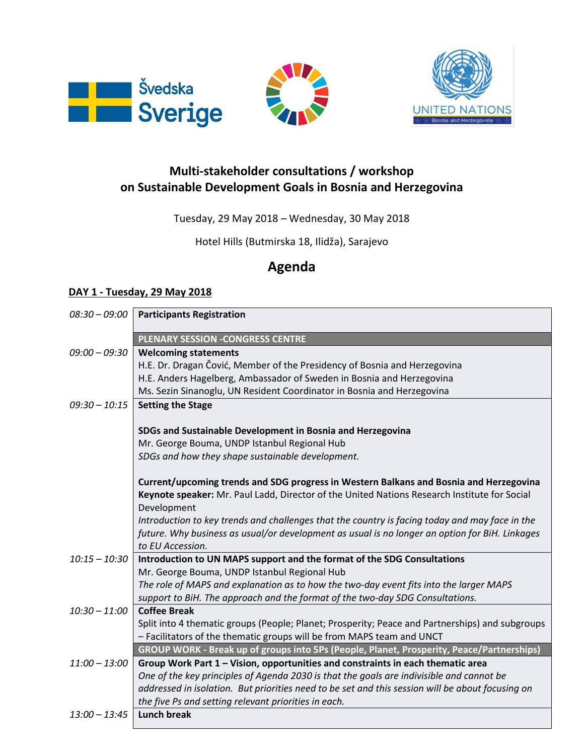





## **Multi-stakeholder consultations / workshop on Sustainable Development Goals in Bosnia and Herzegovina**

Tuesday, 29 May 2018 – Wednesday, 30 May 2018

Hotel Hills (Butmirska 18, Ilidža), Sarajevo

## **Agenda**

## **DAY 1 - Tuesday, 29 May 2018**

| $08:30 - 09:00$ | <b>Participants Registration</b>                                                                 |
|-----------------|--------------------------------------------------------------------------------------------------|
|                 | <b>PLENARY SESSION -CONGRESS CENTRE</b>                                                          |
| $09:00 - 09:30$ | <b>Welcoming statements</b>                                                                      |
|                 | H.E. Dr. Dragan Čović, Member of the Presidency of Bosnia and Herzegovina                        |
|                 | H.E. Anders Hagelberg, Ambassador of Sweden in Bosnia and Herzegovina                            |
|                 | Ms. Sezin Sinanoglu, UN Resident Coordinator in Bosnia and Herzegovina                           |
| $09:30 - 10:15$ | <b>Setting the Stage</b>                                                                         |
|                 |                                                                                                  |
|                 | SDGs and Sustainable Development in Bosnia and Herzegovina                                       |
|                 | Mr. George Bouma, UNDP Istanbul Regional Hub                                                     |
|                 | SDGs and how they shape sustainable development.                                                 |
|                 | Current/upcoming trends and SDG progress in Western Balkans and Bosnia and Herzegovina           |
|                 | Keynote speaker: Mr. Paul Ladd, Director of the United Nations Research Institute for Social     |
|                 | Development                                                                                      |
|                 | Introduction to key trends and challenges that the country is facing today and may face in the   |
|                 | future. Why business as usual/or development as usual is no longer an option for BiH. Linkages   |
|                 | to EU Accession.                                                                                 |
| $10:15 - 10:30$ | Introduction to UN MAPS support and the format of the SDG Consultations                          |
|                 | Mr. George Bouma, UNDP Istanbul Regional Hub                                                     |
|                 | The role of MAPS and explanation as to how the two-day event fits into the larger MAPS           |
|                 | support to BiH. The approach and the format of the two-day SDG Consultations.                    |
| $10:30 - 11:00$ | <b>Coffee Break</b>                                                                              |
|                 | Split into 4 thematic groups (People; Planet; Prosperity; Peace and Partnerships) and subgroups  |
|                 | - Facilitators of the thematic groups will be from MAPS team and UNCT                            |
|                 | GROUP WORK - Break up of groups into 5Ps (People, Planet, Prosperity, Peace/Partnerships)        |
| $11:00 - 13:00$ | Group Work Part 1 - Vision, opportunities and constraints in each thematic area                  |
|                 | One of the key principles of Agenda 2030 is that the goals are indivisible and cannot be         |
|                 | addressed in isolation. But priorities need to be set and this session will be about focusing on |
|                 | the five Ps and setting relevant priorities in each.                                             |
| $13:00 - 13:45$ | <b>Lunch break</b>                                                                               |